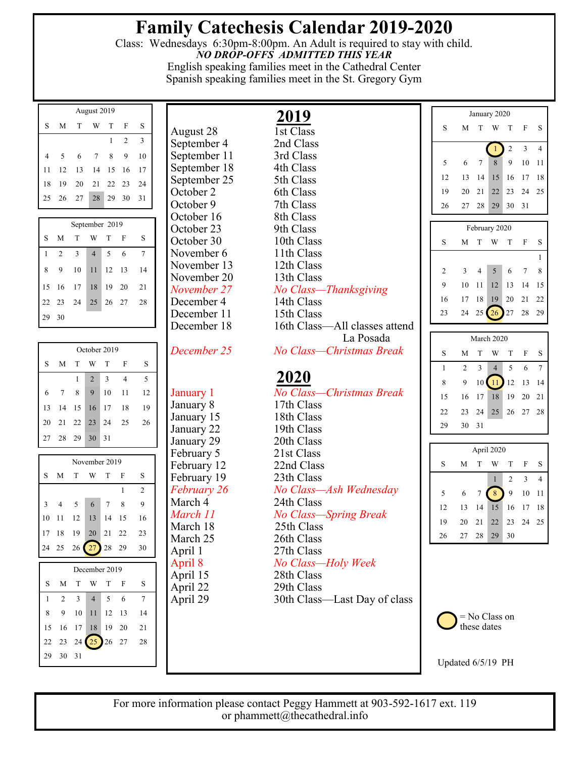## **Family Catechesis Calendar 2019-2020**

Class: Wednesdays 6:30pm-8:00pm. An Adult is required to stay with child. *NO DROP-OFFS ADMITTED THIS YEAR*  English speaking families meet in the Cathedral Center

Spanish speaking families meet in the St. Gregory Gym

| August 2019 |    |    |    |    |                |    |  |  |  |
|-------------|----|----|----|----|----------------|----|--|--|--|
| S           | М  | Т  | W  | T  | F              | S  |  |  |  |
|             |    |    |    | 1  | $\mathfrak{D}$ | 3  |  |  |  |
| 4           | 5  | 6  |    | 8  | 9              | 10 |  |  |  |
| 11          | 12 | 13 | 14 | 15 | 16             | 17 |  |  |  |
| 18          | 19 | 20 | 21 | 22 | 23             | 24 |  |  |  |
| 25          | 26 | 27 | 28 | 29 | 30             | 31 |  |  |  |

| September 2019 |    |                |                |    |                        |      |  |  |  |  |  |
|----------------|----|----------------|----------------|----|------------------------|------|--|--|--|--|--|
| S              | M  | T              | W              | T  | $\mathbf{F}$           | S    |  |  |  |  |  |
| 1              | 2  | $\overline{3}$ | $\overline{4}$ | -5 | 6                      |      |  |  |  |  |  |
| 8              | -9 | 10             |                |    | $11 \quad 12 \quad 13$ | - 14 |  |  |  |  |  |
| 15             |    | 16 17 18       |                |    | 19 20                  | 21   |  |  |  |  |  |
| 22 23          |    | 24             | 25             |    | 26 27                  | - 28 |  |  |  |  |  |
| 29             | 30 |                |                |    |                        |      |  |  |  |  |  |

| October 2019 |    |          |                |             |      |    |  |  |  |  |
|--------------|----|----------|----------------|-------------|------|----|--|--|--|--|
| S            | M  | T        | W              | T           |      | S  |  |  |  |  |
|              |    | 1        | $\overline{2}$ | 3           | 4    | 5  |  |  |  |  |
| 6            | 7  | 8        | 9              | 10          | 11   | 12 |  |  |  |  |
| 13           | 14 | 15 16 17 |                |             | - 18 | 19 |  |  |  |  |
| 20           |    | 21 22 23 |                | $\sqrt{24}$ | - 25 | 26 |  |  |  |  |
| 27           | 28 | 29 30    |                | 31          |      |    |  |  |  |  |

| November 2019 |                |     |                   |   |      |    |  |  |  |  |
|---------------|----------------|-----|-------------------|---|------|----|--|--|--|--|
| S             | M              | T.  | W T F             |   |      | S  |  |  |  |  |
|               |                | 1   | $\overline{2}$    |   |      |    |  |  |  |  |
| 3             | $\overline{4}$ | - 5 | 6                 | 7 | - 8  | 9  |  |  |  |  |
| 10            |                |     | 11  12  13  14    |   | - 15 | 16 |  |  |  |  |
| 17            |                |     | 18 19 20 21 22    |   |      | 23 |  |  |  |  |
|               |                |     | 24 25 26 27 28 29 |   |      | 30 |  |  |  |  |
|               |                |     |                   |   |      |    |  |  |  |  |
|               |                |     | December 2019     |   |      |    |  |  |  |  |
|               | M              |     | T W               | т | F    |    |  |  |  |  |

|    |                | W<br>$\mathbf{F}$<br>T |   |   | S                                                                      |  |  |  |  |  |  |
|----|----------------|------------------------|---|---|------------------------------------------------------------------------|--|--|--|--|--|--|
| 2  | $\overline{3}$ | $\overline{4}$         | 5 | 6 |                                                                        |  |  |  |  |  |  |
| 9  |                |                        |   |   | 14                                                                     |  |  |  |  |  |  |
|    |                |                        |   |   | 21                                                                     |  |  |  |  |  |  |
|    |                |                        |   |   | 28                                                                     |  |  |  |  |  |  |
| 30 |                |                        |   |   |                                                                        |  |  |  |  |  |  |
|    |                | M T<br>- 31            |   |   | December 2019<br>10 11 12 13<br>15 16 17 18 19 20<br>22 23 24 25 26 27 |  |  |  |  |  |  |

August 28 September 4 2nd Class September 11 3rd Class September 18 4th Class September 25 5th Class October 2 6th Class October 9 7th Class<br>October 16 8th Class October 16 October 23 9th Class October 30 10th Class November 6 11th Class November 13 12th Class November 20 13th Class

## $\frac{2019}{\text{1st Class}}$ *November 27 No Class—Thanksgiving* December 4 14th Class December 11 15th Class December 18 16th Class—All classes attend La Posada *December 25 No Class—Christmas Break* **2020** January 1 *No Class—Christmas Break* January 8 17th Class January 15 18th Class January 22 19th Class January 29 20th Class February 5 21st Class February 12 22nd Class February 19 23th Class *February 26 No Class—Ash Wednesday* March 4 24th Class *March 11 No Class—Spring Break*  March 18 25th Class March 25 26th Class April 1 27th Class April 8 *No Class—Holy Week* April 15 28th Class April 22 29th Class April 29 30th Class—Last Day of class

| January 2020 |                |                         |                |                |        |                |  |  |  |  |  |
|--------------|----------------|-------------------------|----------------|----------------|--------|----------------|--|--|--|--|--|
| S            | M              | T                       | W              | T              | F      | S              |  |  |  |  |  |
|              |                |                         | $\mathbf{1}$   | $\overline{c}$ | 3      | 4              |  |  |  |  |  |
| 5            | 6              | 7                       | 8              | $\overline{9}$ | 10     | 11             |  |  |  |  |  |
| 12           | 13             | 14                      | 15             | 16             | 17     | 18             |  |  |  |  |  |
| 19           | 20             | 21                      | 22             | 23             | 24     | 25             |  |  |  |  |  |
| 26           | 27             | 28                      | 29             | 30             | 31     |                |  |  |  |  |  |
|              |                |                         | February 2020  |                |        |                |  |  |  |  |  |
| S            | M              | T                       | W              | T              | F      | S              |  |  |  |  |  |
|              |                |                         |                |                |        | 1              |  |  |  |  |  |
| 2            | 3              | $\overline{4}$          | 5              | 6              | $\tau$ | 8              |  |  |  |  |  |
| 9            | 10             | 11                      | 12             | 13             | 14     | 15             |  |  |  |  |  |
| 16           | 17             | 18                      | 19             | 20             | 21     | 22             |  |  |  |  |  |
| 23           | 24             | 25 <sup>1</sup>         | 26             | $27\,$         | 28     | 29             |  |  |  |  |  |
|              |                |                         | March 2020     |                |        |                |  |  |  |  |  |
| S            | M              | T                       | W              | T              | F      | S              |  |  |  |  |  |
| $\mathbf{1}$ | $\overline{c}$ | $\overline{\mathbf{3}}$ | $\overline{4}$ | 5              | 6      | $\sqrt{ }$     |  |  |  |  |  |
| 8            | 9              | 10 <sup>1</sup>         | 11             | 12             | 13     | 14             |  |  |  |  |  |
| 15           | 16             | 17                      | 18             | 19             | 20     | 21             |  |  |  |  |  |
| 22           | 23             | 24                      | 25             | 26             | 27     | 28             |  |  |  |  |  |
| 29           | 30             | 31                      |                |                |        |                |  |  |  |  |  |
|              |                |                         |                |                |        |                |  |  |  |  |  |
|              |                |                         | April 2020     |                |        |                |  |  |  |  |  |
| S            | M              | T                       | W              | T              | F      | S              |  |  |  |  |  |
|              |                |                         | 1              | $\overline{c}$ | 3      | $\overline{4}$ |  |  |  |  |  |
| 5            | 6              | $\overline{7}$          | 8              | $\overline{9}$ | 10     | 11             |  |  |  |  |  |
| 12           | 13             | 14                      | 15             | 16             | 17     | 18             |  |  |  |  |  |
| 19           | 20             | 21                      | 22             | 23             | 24     | 25             |  |  |  |  |  |



26 27 28 29 30

Updated 6/5/19 PH

For more information please contact Peggy Hammett at 903-592-1617 ext. 119 or phammett@thecathedral.info